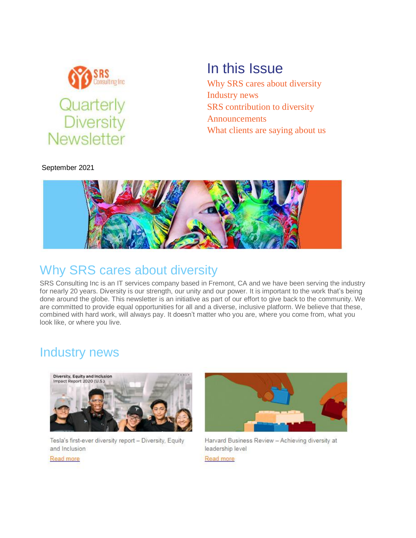

September 2021

# In this Issue

[Why SRS cares about diversity](https://outlook.office.com/mail/inbox/id/AAQkADYyZjc4ODFmLTUwZmUtNDIwNi1iY2JiLTcxNzBkNTMwY2QyZgAQAOutxswjyENEhWz8C9dcsqI%3D#x_x_intro) [Industry news](https://outlook.office.com/mail/inbox/id/AAQkADYyZjc4ODFmLTUwZmUtNDIwNi1iY2JiLTcxNzBkNTMwY2QyZgAQAOutxswjyENEhWz8C9dcsqI%3D#x_x_news) [SRS contribution to diversity](https://outlook.office.com/mail/inbox/id/AAQkADYyZjc4ODFmLTUwZmUtNDIwNi1iY2JiLTcxNzBkNTMwY2QyZgAQAOutxswjyENEhWz8C9dcsqI%3D#x_x_pro) [Announcements](https://outlook.office.com/mail/inbox/id/AAQkADYyZjc4ODFmLTUwZmUtNDIwNi1iY2JiLTcxNzBkNTMwY2QyZgAQAOutxswjyENEhWz8C9dcsqI%3D#x_x_annou) [What clients are saying about us](https://outlook.office.com/mail/inbox/id/AAQkADYyZjc4ODFmLTUwZmUtNDIwNi1iY2JiLTcxNzBkNTMwY2QyZgAQAOutxswjyENEhWz8C9dcsqI%3D#x_x_cli)



## Why SRS cares about diversity

SRS Consulting Inc is an IT services company based in Fremont, CA and we have been serving the industry for nearly 20 years. Diversity is our strength, our unity and our power. It is important to the work that's being done around the globe. This newsletter is an initiative as part of our effort to give back to the community. We are committed to provide equal opportunities for all and a diverse, inclusive platform. We believe that these, combined with hard work, will always pay. It doesn't matter who you are, where you come from, what you look like, or where you live.

### Industry news



Tesla's first-ever diversity report - Diversity, Equity and Inclusion





Harvard Business Review - Achieving diversity at leadership level

Read more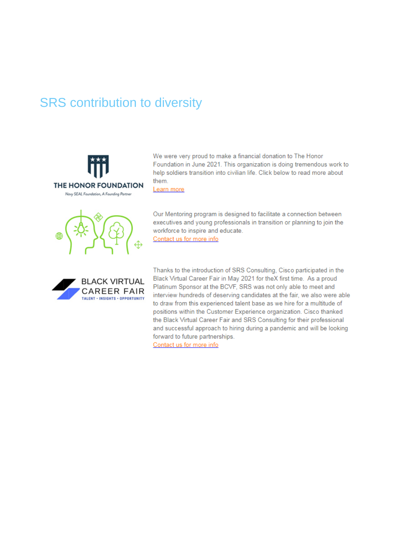### SRS contribution to diversity





We were very proud to make a financial donation to The Honor





workforce to inspire and educate. Contact us for more info

Our Mentoring program is designed to facilitate a connection between executives and young professionals in transition or planning to join the

Thanks to the introduction of SRS Consulting, Cisco participated in the Black Virtual Career Fair in May 2021 for theX first time. As a proud Platinum Sponsor at the BCVF, SRS was not only able to meet and interview hundreds of deserving candidates at the fair, we also were able to draw from this experienced talent base as we hire for a multitude of positions within the Customer Experience organization. Cisco thanked the Black Virtual Career Fair and SRS Consulting for their professional and successful approach to hiring during a pandemic and will be looking forward to future partnerships.

Contact us for more info